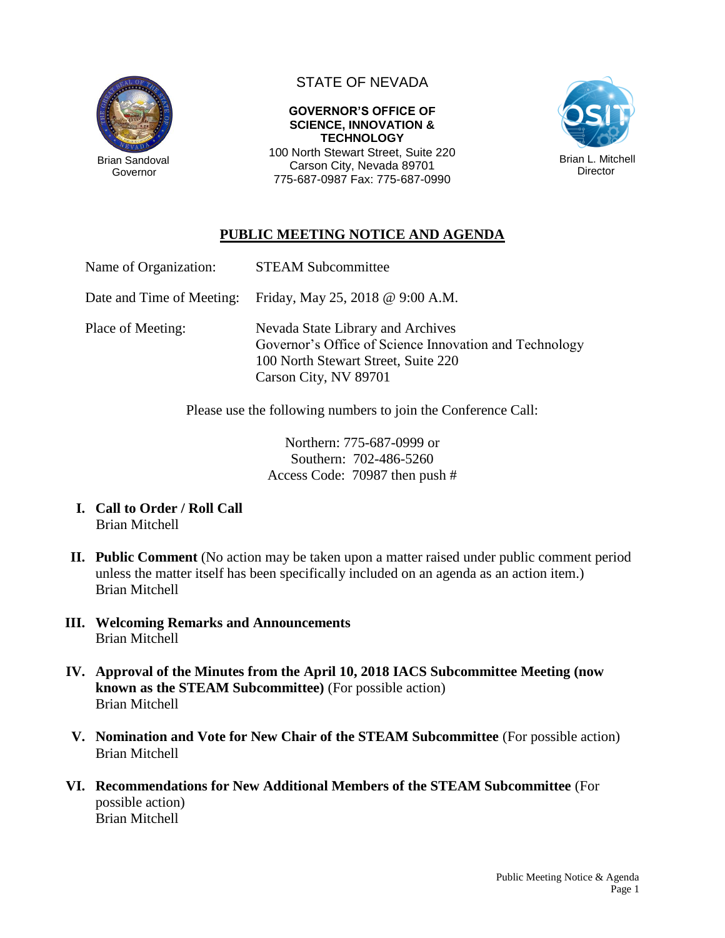

Governor

# STATE OF NEVADA

### **GOVERNOR'S OFFICE OF SCIENCE, INNOVATION & TECHNOLOGY**

100 North Stewart Street, Suite 220 Carson City, Nevada 89701 775-687-0987 Fax: 775-687-0990



## **PUBLIC MEETING NOTICE AND AGENDA**

| Name of Organization:     | <b>STEAM Subcommittee</b>                                                                                                                                   |
|---------------------------|-------------------------------------------------------------------------------------------------------------------------------------------------------------|
| Date and Time of Meeting: | Friday, May 25, 2018 @ $9:00$ A.M.                                                                                                                          |
| Place of Meeting:         | Nevada State Library and Archives<br>Governor's Office of Science Innovation and Technology<br>100 North Stewart Street, Suite 220<br>Carson City, NV 89701 |

Please use the following numbers to join the Conference Call:

Northern: 775-687-0999 or Southern: 702-486-5260 Access Code: 70987 then push #

- **I. Call to Order / Roll Call** Brian Mitchell
- **II. Public Comment** (No action may be taken upon a matter raised under public comment period unless the matter itself has been specifically included on an agenda as an action item.) Brian Mitchell
- **III. Welcoming Remarks and Announcements** Brian Mitchell
- **IV. Approval of the Minutes from the April 10, 2018 IACS Subcommittee Meeting (now known as the STEAM Subcommittee)** (For possible action) Brian Mitchell
- **V. Nomination and Vote for New Chair of the STEAM Subcommittee** (For possible action) Brian Mitchell
- **VI. Recommendations for New Additional Members of the STEAM Subcommittee** (For possible action) Brian Mitchell